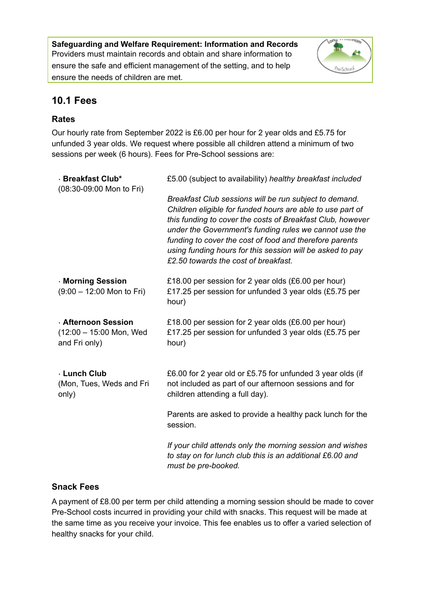**Safeguarding and Welfare Requirement: Information and Records** Providers must maintain records and obtain and share information to ensure the safe and efficient management of the setting, and to help ensure the needs of children are met.



# **10.1 Fees**

# **Rates**

Our hourly rate from September 2022 is £6.00 per hour for 2 year olds and £5.75 for unfunded 3 year olds. We request where possible all children attend a minimum of two sessions per week (6 hours). Fees for Pre-School sessions are:

| · Breakfast Club*<br>(08:30-09:00 Mon to Fri)                        | £5.00 (subject to availability) healthy breakfast included                                                                                                                                                                                                                                                                                                                                                   |
|----------------------------------------------------------------------|--------------------------------------------------------------------------------------------------------------------------------------------------------------------------------------------------------------------------------------------------------------------------------------------------------------------------------------------------------------------------------------------------------------|
|                                                                      | Breakfast Club sessions will be run subject to demand.<br>Children eligible for funded hours are able to use part of<br>this funding to cover the costs of Breakfast Club, however<br>under the Government's funding rules we cannot use the<br>funding to cover the cost of food and therefore parents<br>using funding hours for this session will be asked to pay<br>£2.50 towards the cost of breakfast. |
| · Morning Session<br>$(9:00 - 12:00$ Mon to Fri)                     | £18.00 per session for 2 year olds (£6.00 per hour)<br>£17.25 per session for unfunded 3 year olds (£5.75 per<br>hour)                                                                                                                                                                                                                                                                                       |
| <b>Afternoon Session</b><br>(12:00 - 15:00 Mon, Wed<br>and Fri only) | £18.00 per session for 2 year olds (£6.00 per hour)<br>£17.25 per session for unfunded 3 year olds (£5.75 per<br>hour)                                                                                                                                                                                                                                                                                       |
| · Lunch Club<br>(Mon, Tues, Weds and Fri<br>only)                    | £6.00 for 2 year old or £5.75 for unfunded 3 year olds (if<br>not included as part of our afternoon sessions and for<br>children attending a full day).                                                                                                                                                                                                                                                      |
|                                                                      | Parents are asked to provide a healthy pack lunch for the<br>session.                                                                                                                                                                                                                                                                                                                                        |
|                                                                      | If your child attends only the morning session and wishes<br>to stay on for lunch club this is an additional £6.00 and<br>must be pre-booked.                                                                                                                                                                                                                                                                |

## **Snack Fees**

A payment of £8.00 per term per child attending a morning session should be made to cover Pre-School costs incurred in providing your child with snacks. This request will be made at the same time as you receive your invoice. This fee enables us to offer a varied selection of healthy snacks for your child.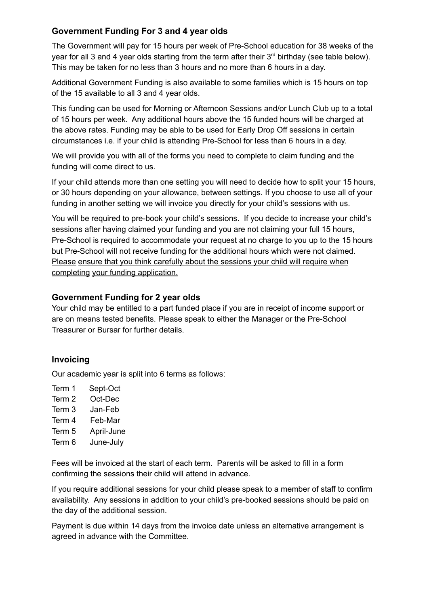# **Government Funding For 3 and 4 year olds**

The Government will pay for 15 hours per week of Pre-School education for 38 weeks of the year for all 3 and 4 year olds starting from the term after their  $3<sup>rd</sup>$  birthday (see table below). This may be taken for no less than 3 hours and no more than 6 hours in a day.

Additional Government Funding is also available to some families which is 15 hours on top of the 15 available to all 3 and 4 year olds.

This funding can be used for Morning or Afternoon Sessions and/or Lunch Club up to a total of 15 hours per week. Any additional hours above the 15 funded hours will be charged at the above rates. Funding may be able to be used for Early Drop Off sessions in certain circumstances i.e. if your child is attending Pre-School for less than 6 hours in a day.

We will provide you with all of the forms you need to complete to claim funding and the funding will come direct to us.

If your child attends more than one setting you will need to decide how to split your 15 hours, or 30 hours depending on your allowance, between settings. If you choose to use all of your funding in another setting we will invoice you directly for your child's sessions with us.

You will be required to pre-book your child's sessions. If you decide to increase your child's sessions after having claimed your funding and you are not claiming your full 15 hours, Pre-School is required to accommodate your request at no charge to you up to the 15 hours but Pre-School will not receive funding for the additional hours which were not claimed. Please ensure that you think carefully about the sessions your child will require when completing your funding application.

## **Government Funding for 2 year olds**

Your child may be entitled to a part funded place if you are in receipt of income support or are on means tested benefits. Please speak to either the Manager or the Pre-School Treasurer or Bursar for further details.

# **Invoicing**

Our academic year is split into 6 terms as follows:

Term 1 Sept-Oct Term 2 Oct-Dec Term 3 Jan-Feb Term 4 Feb-Mar Term 5 April-June Term 6 June-July

Fees will be invoiced at the start of each term. Parents will be asked to fill in a form confirming the sessions their child will attend in advance.

If you require additional sessions for your child please speak to a member of staff to confirm availability. Any sessions in addition to your child's pre-booked sessions should be paid on the day of the additional session.

Payment is due within 14 days from the invoice date unless an alternative arrangement is agreed in advance with the Committee.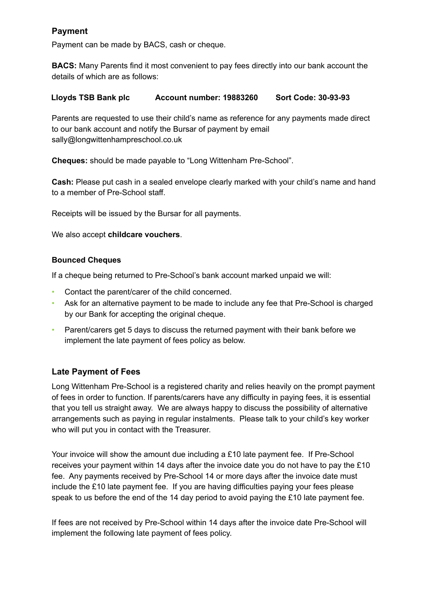## **Payment**

Payment can be made by BACS, cash or cheque.

**BACS:** Many Parents find it most convenient to pay fees directly into our bank account the details of which are as follows:

#### **Lloyds TSB Bank plc Account number: 19883260 Sort Code: 30-93-93**

Parents are requested to use their child's name as reference for any payments made direct to our bank account and notify the Bursar of payment by email sally@longwittenhampreschool.co.uk

**Cheques:** should be made payable to "Long Wittenham Pre-School".

**Cash:** Please put cash in a sealed envelope clearly marked with your child's name and hand to a member of Pre-School staff.

Receipts will be issued by the Bursar for all payments.

We also accept **childcare vouchers**.

#### **Bounced Cheques**

If a cheque being returned to Pre-School's bank account marked unpaid we will:

- Contact the parent/carer of the child concerned.
- Ask for an alternative payment to be made to include any fee that Pre-School is charged by our Bank for accepting the original cheque.
- Parent/carers get 5 days to discuss the returned payment with their bank before we implement the late payment of fees policy as below.

### **Late Payment of Fees**

Long Wittenham Pre-School is a registered charity and relies heavily on the prompt payment of fees in order to function. If parents/carers have any difficulty in paying fees, it is essential that you tell us straight away. We are always happy to discuss the possibility of alternative arrangements such as paying in regular instalments. Please talk to your child's key worker who will put you in contact with the Treasurer.

Your invoice will show the amount due including a £10 late payment fee. If Pre-School receives your payment within 14 days after the invoice date you do not have to pay the £10 fee. Any payments received by Pre-School 14 or more days after the invoice date must include the £10 late payment fee. If you are having difficulties paying your fees please speak to us before the end of the 14 day period to avoid paying the £10 late payment fee.

If fees are not received by Pre-School within 14 days after the invoice date Pre-School will implement the following late payment of fees policy.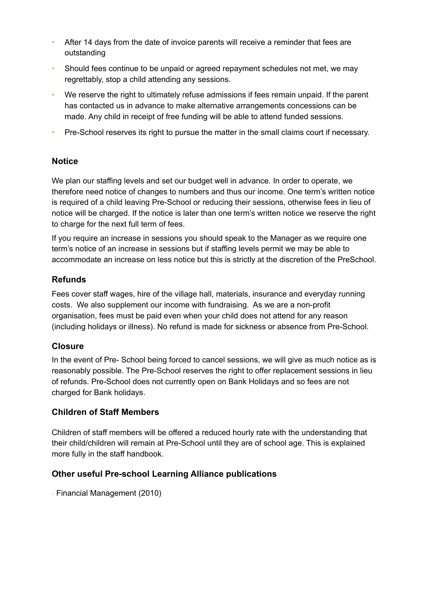- After 14 days from the date of invoice parents will receive a reminder that fees are outstanding
- Should fees continue to be unpaid or agreed repayment schedules not met, we may regrettably, stop a child attending any sessions.
- We reserve the right to ultimately refuse admissions if fees remain unpaid. If the parent has contacted us in advance to make alternative arrangements concessions can be made. Any child in receipt of free funding will be able to attend funded sessions.
- Pre-School reserves its right to pursue the matter in the small claims court if necessary.

### **Notice**

We plan our staffing levels and set our budget well in advance. In order to operate, we therefore need notice of changes to numbers and thus our income. One term's written notice is required of a child leaving Pre-School or reducing their sessions, otherwise fees in lieu of notice will be charged. If the notice is later than one term's written notice we reserve the right to charge for the next full term of fees.

If you require an increase in sessions you should speak to the Manager as we require one term's notice of an increase in sessions but if staffing levels permit we may be able to accommodate an increase on less notice but this is strictly at the discretion of the PreSchool.

### **Refunds**

Fees cover staff wages, hire of the village hall, materials, insurance and everyday running costs. We also supplement our income with fundraising. As we are a non-profit organisation, fees must be paid even when your child does not attend for any reason (including holidays or illness). No refund is made for sickness or absence from Pre-School.

### **Closure**

In the event of Pre- School being forced to cancel sessions, we will give as much notice as is reasonably possible. The Pre-School reserves the right to offer replacement sessions in lieu of refunds. Pre-School does not currently open on Bank Holidays and so fees are not charged for Bank holidays.

## **Children of Staff Members**

Children of staff members will be offered a reduced hourly rate with the understanding that their child/children will remain at Pre-School until they are of school age. This is explained more fully in the staff handbook.

### **Other useful Pre-school Learning Alliance publications**

• Financial Management (2010)